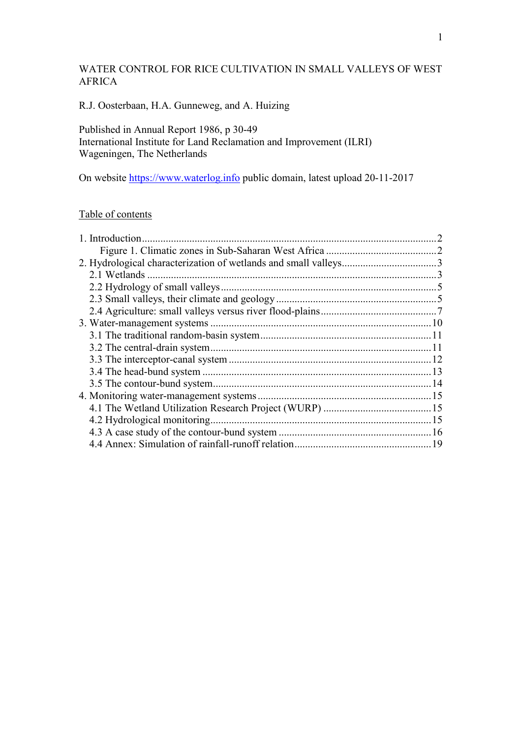# WATER CONTROL FOR RICE CULTIVATION IN SMALL VALLEYS OF WEST AFRICA

# R.J. Oosterbaan, H.A. Gunneweg, and A. Huizing

## Published in Annual Report 1986, p 30-49 International Institute for Land Reclamation and Improvement (ILRI) Wageningen, The Netherlands

On website https://www.waterlog.info public domain, latest upload 20-11-2017

# Table of contents

| 1. Introduction. |  |
|------------------|--|
|                  |  |
|                  |  |
| 2.1 Wetlands     |  |
|                  |  |
|                  |  |
|                  |  |
|                  |  |
|                  |  |
|                  |  |
|                  |  |
|                  |  |
|                  |  |
|                  |  |
|                  |  |
|                  |  |
|                  |  |
|                  |  |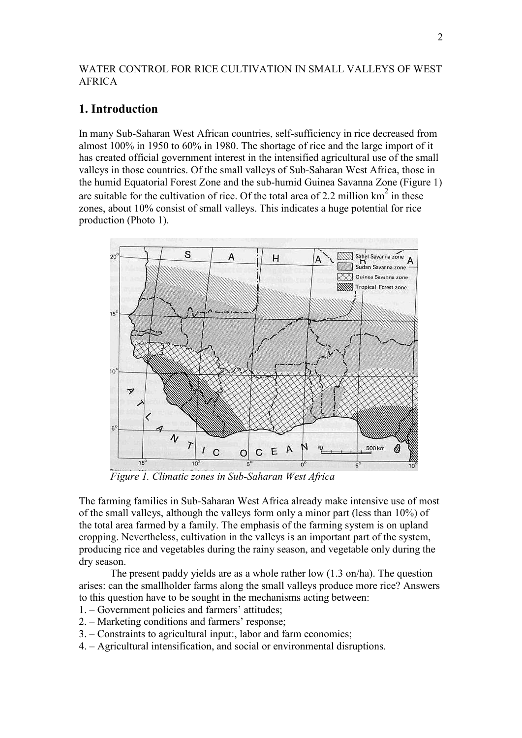### WATER CONTROL FOR RICE CULTIVATION IN SMALL VALLEYS OF WEST AFRICA

# **1. Introduction**

In many Sub-Saharan West African countries, self-sufficiency in rice decreased from almost 100% in 1950 to 60% in 1980. The shortage of rice and the large import of it has created official government interest in the intensified agricultural use of the small valleys in those countries. Of the small valleys of Sub-Saharan West Africa, those in the humid Equatorial Forest Zone and the sub-humid Guinea Savanna Zone (Figure 1) are suitable for the cultivation of rice. Of the total area of 2.2 million  $km^2$  in these zones, about 10% consist of small valleys. This indicates a huge potential for rice production (Photo 1).



*Figure 1. Climatic zones in Sub-Saharan West Africa*

The farming families in Sub-Saharan West Africa already make intensive use of most of the small valleys, although the valleys form only a minor part (less than 10%) of the total area farmed by a family. The emphasis of the farming system is on upland cropping. Nevertheless, cultivation in the valleys is an important part of the system, producing rice and vegetables during the rainy season, and vegetable only during the dry season.

 The present paddy yields are as a whole rather low (1.3 on/ha). The question arises: can the smallholder farms along the small valleys produce more rice? Answers to this question have to be sought in the mechanisms acting between:

- 1. Government policies and farmers' attitudes;
- 2. Marketing conditions and farmers' response;
- 3. Constraints to agricultural input:, labor and farm economics;
- 4. Agricultural intensification, and social or environmental disruptions.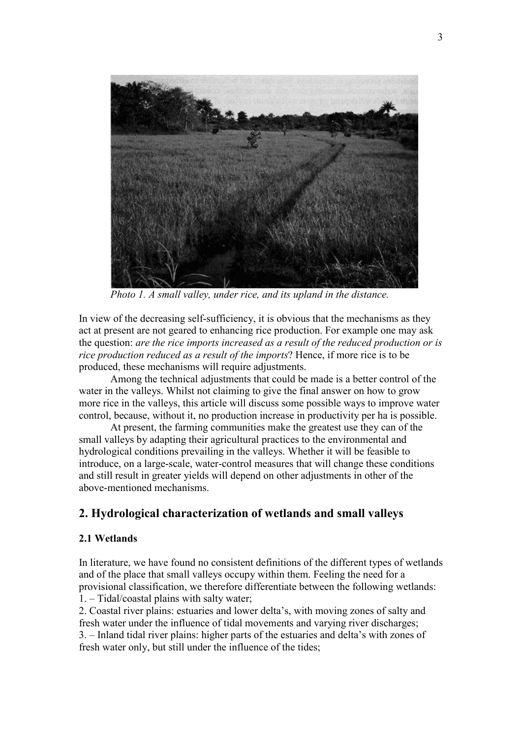

*Photo 1. A small valley, under rice, and its upland in the distance.*

In view of the decreasing self-sufficiency, it is obvious that the mechanisms as they act at present are not geared to enhancing rice production. For example one may ask the question: *are the rice imports increased as a result of the reduced production or is rice production reduced as a result of the imports*? Hence, if more rice is to be produced, these mechanisms will require adjustments.

 Among the technical adjustments that could be made is a better control of the water in the valleys. Whilst not claiming to give the final answer on how to grow more rice in the valleys, this article will discuss some possible ways to improve water control, because, without it, no production increase in productivity per ha is possible.

 At present, the farming communities make the greatest use they can of the small valleys by adapting their agricultural practices to the environmental and hydrological conditions prevailing in the valleys. Whether it will be feasible to introduce, on a large-scale, water-control measures that will change these conditions and still result in greater yields will depend on other adjustments in other of the above-mentioned mechanisms.

# **2. Hydrological characterization of wetlands and small valleys**

### **2.1 Wetlands**

In literature, we have found no consistent definitions of the different types of wetlands and of the place that small valleys occupy within them. Feeling the need for a provisional classification, we therefore differentiate between the following wetlands: 1. – Tidal/coastal plains with salty water;

2. Coastal river plains: estuaries and lower delta's, with moving zones of salty and fresh water under the influence of tidal movements and varying river discharges; 3. – Inland tidal river plains: higher parts of the estuaries and delta's with zones of fresh water only, but still under the influence of the tides;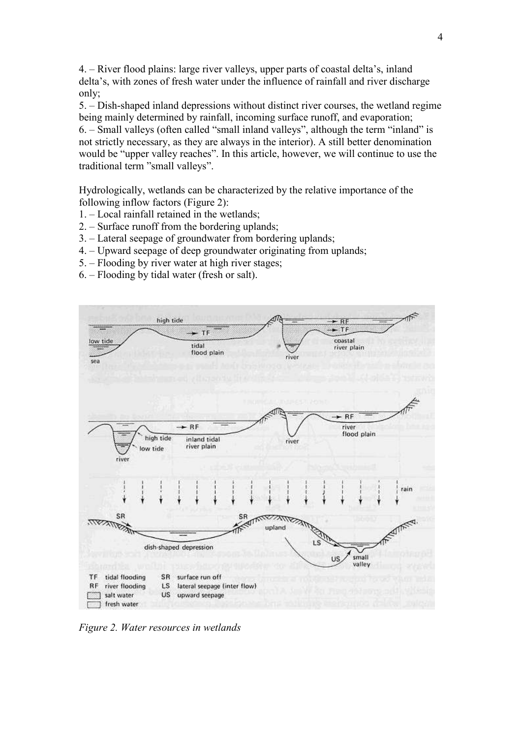4. – River flood plains: large river valleys, upper parts of coastal delta's, inland delta's, with zones of fresh water under the influence of rainfall and river discharge only;

5. – Dish-shaped inland depressions without distinct river courses, the wetland regime being mainly determined by rainfall, incoming surface runoff, and evaporation;

6. – Small valleys (often called "small inland valleys", although the term "inland" is not strictly necessary, as they are always in the interior). A still better denomination would be "upper valley reaches". In this article, however, we will continue to use the traditional term "small valleys".

Hydrologically, wetlands can be characterized by the relative importance of the following inflow factors (Figure 2):

- 1. Local rainfall retained in the wetlands;
- 2. Surface runoff from the bordering uplands;
- 3. Lateral seepage of groundwater from bordering uplands;
- 4. Upward seepage of deep groundwater originating from uplands;
- 5. Flooding by river water at high river stages;
- 6. Flooding by tidal water (fresh or salt).



*Figure 2. Water resources in wetlands*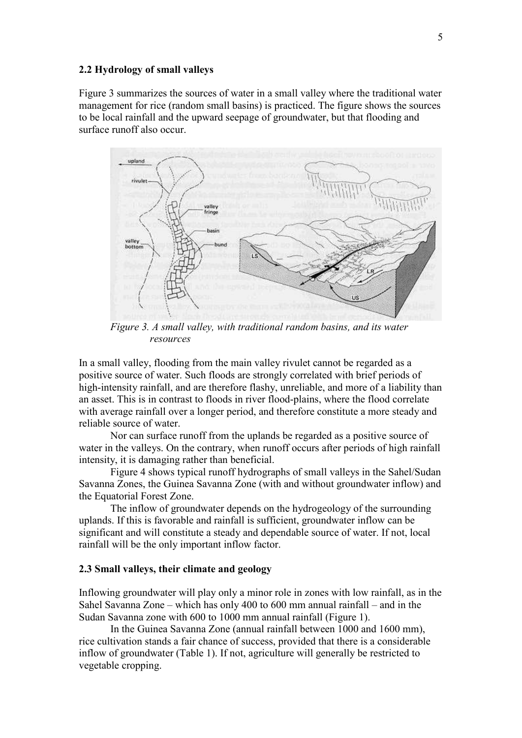#### **2.2 Hydrology of small valleys**

Figure 3 summarizes the sources of water in a small valley where the traditional water management for rice (random small basins) is practiced. The figure shows the sources to be local rainfall and the upward seepage of groundwater, but that flooding and surface runoff also occur.



*Figure 3. A small valley, with traditional random basins, and its water resources* 

In a small valley, flooding from the main valley rivulet cannot be regarded as a positive source of water. Such floods are strongly correlated with brief periods of high-intensity rainfall, and are therefore flashy, unreliable, and more of a liability than an asset. This is in contrast to floods in river flood-plains, where the flood correlate with average rainfall over a longer period, and therefore constitute a more steady and reliable source of water.

 Nor can surface runoff from the uplands be regarded as a positive source of water in the valleys. On the contrary, when runoff occurs after periods of high rainfall intensity, it is damaging rather than beneficial.

 Figure 4 shows typical runoff hydrographs of small valleys in the Sahel/Sudan Savanna Zones, the Guinea Savanna Zone (with and without groundwater inflow) and the Equatorial Forest Zone.

 The inflow of groundwater depends on the hydrogeology of the surrounding uplands. If this is favorable and rainfall is sufficient, groundwater inflow can be significant and will constitute a steady and dependable source of water. If not, local rainfall will be the only important inflow factor.

#### **2.3 Small valleys, their climate and geology**

Inflowing groundwater will play only a minor role in zones with low rainfall, as in the Sahel Savanna Zone – which has only 400 to 600 mm annual rainfall – and in the Sudan Savanna zone with 600 to 1000 mm annual rainfall (Figure 1).

 In the Guinea Savanna Zone (annual rainfall between 1000 and 1600 mm), rice cultivation stands a fair chance of success, provided that there is a considerable inflow of groundwater (Table 1). If not, agriculture will generally be restricted to vegetable cropping.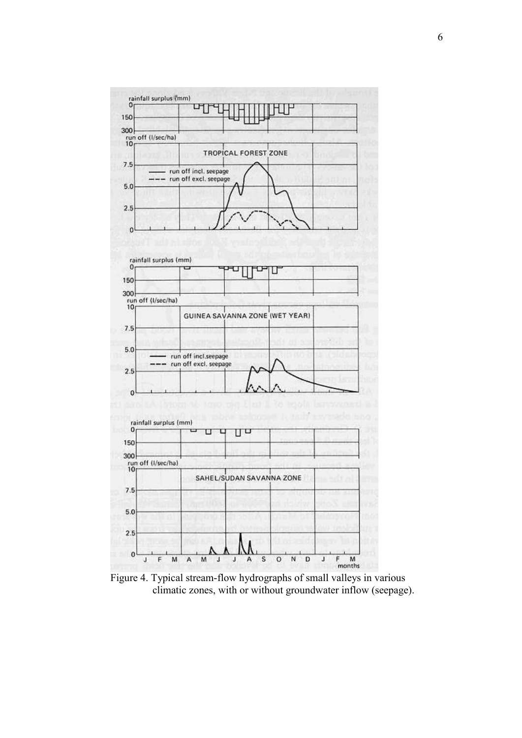

 Figure 4. Typical stream-flow hydrographs of small valleys in various climatic zones, with or without groundwater inflow (seepage).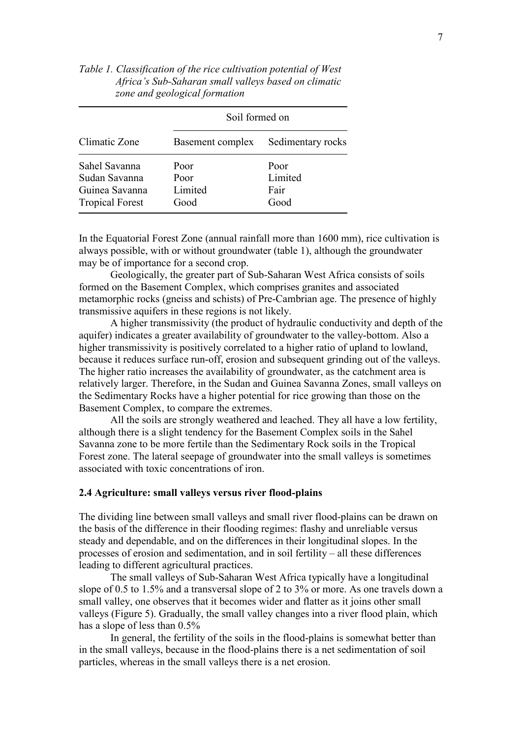| Climatic Zone                                                              | Soil formed on                  |                                 |  |
|----------------------------------------------------------------------------|---------------------------------|---------------------------------|--|
|                                                                            | Basement complex                | Sedimentary rocks               |  |
| Sahel Savanna<br>Sudan Savanna<br>Guinea Savanna<br><b>Tropical Forest</b> | Poor<br>Poor<br>Limited<br>Good | Poor<br>Limited<br>Fair<br>Good |  |

*Table 1. Classification of the rice cultivation potential of West Africa's Sub-Saharan small valleys based on climatic zone and geological formation* 

In the Equatorial Forest Zone (annual rainfall more than 1600 mm), rice cultivation is always possible, with or without groundwater (table 1), although the groundwater may be of importance for a second crop.

 Geologically, the greater part of Sub-Saharan West Africa consists of soils formed on the Basement Complex, which comprises granites and associated metamorphic rocks (gneiss and schists) of Pre-Cambrian age. The presence of highly transmissive aquifers in these regions is not likely.

 A higher transmissivity (the product of hydraulic conductivity and depth of the aquifer) indicates a greater availability of groundwater to the valley-bottom. Also a higher transmissivity is positively correlated to a higher ratio of upland to lowland, because it reduces surface run-off, erosion and subsequent grinding out of the valleys. The higher ratio increases the availability of groundwater, as the catchment area is relatively larger. Therefore, in the Sudan and Guinea Savanna Zones, small valleys on the Sedimentary Rocks have a higher potential for rice growing than those on the Basement Complex, to compare the extremes.

 All the soils are strongly weathered and leached. They all have a low fertility, although there is a slight tendency for the Basement Complex soils in the Sahel Savanna zone to be more fertile than the Sedimentary Rock soils in the Tropical Forest zone. The lateral seepage of groundwater into the small valleys is sometimes associated with toxic concentrations of iron.

### **2.4 Agriculture: small valleys versus river flood-plains**

The dividing line between small valleys and small river flood-plains can be drawn on the basis of the difference in their flooding regimes: flashy and unreliable versus steady and dependable, and on the differences in their longitudinal slopes. In the processes of erosion and sedimentation, and in soil fertility – all these differences leading to different agricultural practices.

 The small valleys of Sub-Saharan West Africa typically have a longitudinal slope of 0.5 to 1.5% and a transversal slope of 2 to 3% or more. As one travels down a small valley, one observes that it becomes wider and flatter as it joins other small valleys (Figure 5). Gradually, the small valley changes into a river flood plain, which has a slope of less than 0.5%

 In general, the fertility of the soils in the flood-plains is somewhat better than in the small valleys, because in the flood-plains there is a net sedimentation of soil particles, whereas in the small valleys there is a net erosion.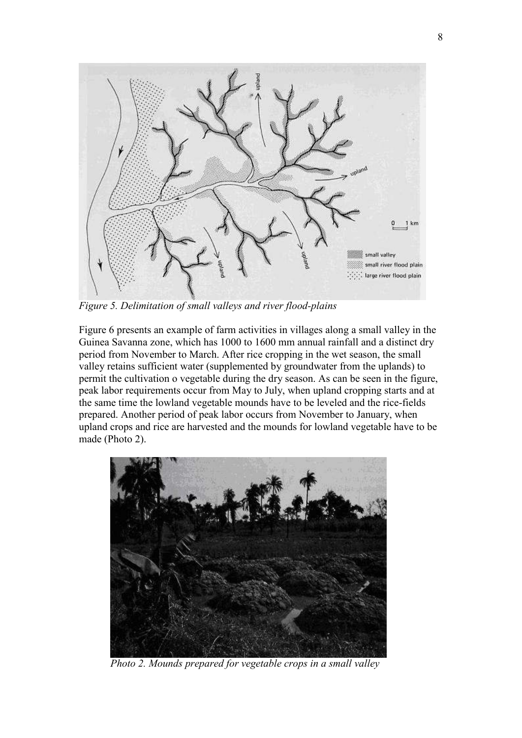

*Figure 5. Delimitation of small valleys and river flood-plains* 

Figure 6 presents an example of farm activities in villages along a small valley in the Guinea Savanna zone, which has 1000 to 1600 mm annual rainfall and a distinct dry period from November to March. After rice cropping in the wet season, the small valley retains sufficient water (supplemented by groundwater from the uplands) to permit the cultivation o vegetable during the dry season. As can be seen in the figure, peak labor requirements occur from May to July, when upland cropping starts and at the same time the lowland vegetable mounds have to be leveled and the rice-fields prepared. Another period of peak labor occurs from November to January, when upland crops and rice are harvested and the mounds for lowland vegetable have to be made (Photo 2).



*Photo 2. Mounds prepared for vegetable crops in a small valley*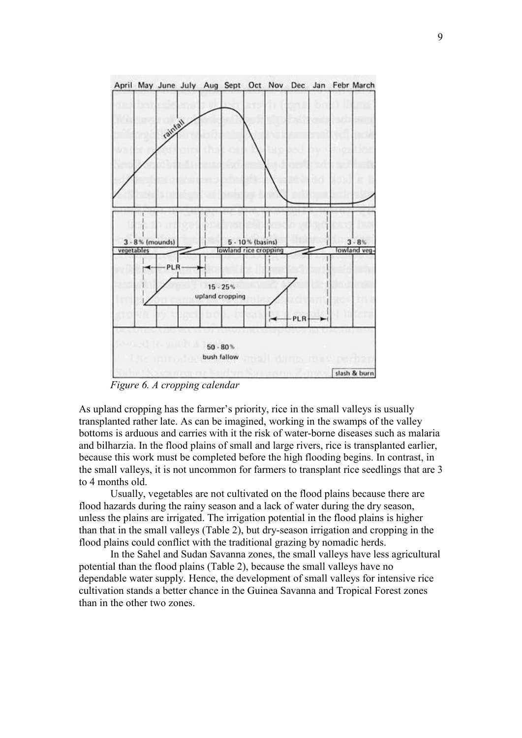

*Figure 6. A cropping calendar*

As upland cropping has the farmer's priority, rice in the small valleys is usually transplanted rather late. As can be imagined, working in the swamps of the valley bottoms is arduous and carries with it the risk of water-borne diseases such as malaria and bilharzia. In the flood plains of small and large rivers, rice is transplanted earlier, because this work must be completed before the high flooding begins. In contrast, in the small valleys, it is not uncommon for farmers to transplant rice seedlings that are 3 to 4 months old.

 Usually, vegetables are not cultivated on the flood plains because there are flood hazards during the rainy season and a lack of water during the dry season, unless the plains are irrigated. The irrigation potential in the flood plains is higher than that in the small valleys (Table 2), but dry-season irrigation and cropping in the flood plains could conflict with the traditional grazing by nomadic herds.

 In the Sahel and Sudan Savanna zones, the small valleys have less agricultural potential than the flood plains (Table 2), because the small valleys have no dependable water supply. Hence, the development of small valleys for intensive rice cultivation stands a better chance in the Guinea Savanna and Tropical Forest zones than in the other two zones.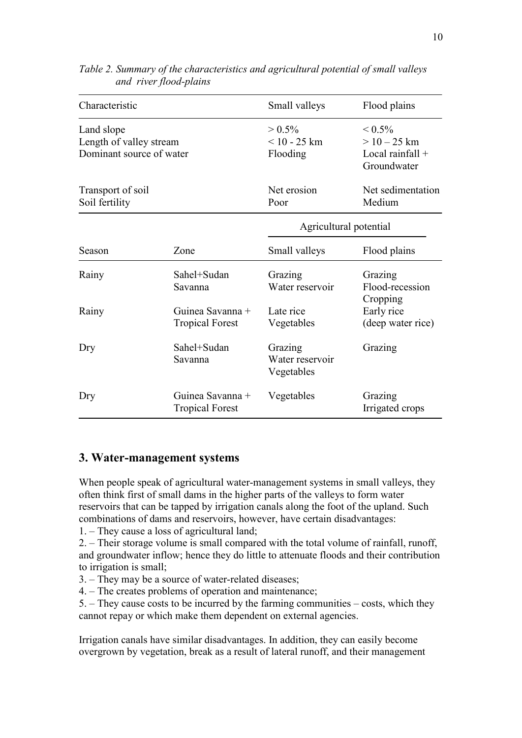| Characteristic           |                                            | Small valleys                 | Flood plains                      |  |
|--------------------------|--------------------------------------------|-------------------------------|-----------------------------------|--|
| Land slope               |                                            | $> 0.5\%$                     | ${}_{\leq 0.5\%}$                 |  |
| Length of valley stream  |                                            | $< 10 - 25$ km                | $> 10 - 25$ km                    |  |
| Dominant source of water |                                            | Flooding                      | Local rainfall $+$<br>Groundwater |  |
| Transport of soil        |                                            | Net erosion                   | Net sedimentation                 |  |
| Soil fertility           |                                            | Poor                          | Medium                            |  |
|                          |                                            | Agricultural potential        |                                   |  |
| Season                   | Zone                                       | Small valleys                 | Flood plains                      |  |
| Rainy                    | Sahel+Sudan                                | Grazing                       | Grazing                           |  |
|                          | Savanna                                    | Water reservoir               | Flood-recession<br>Cropping       |  |
| Rainy                    | Guinea Savanna +                           | Late rice                     | Early rice                        |  |
|                          | <b>Tropical Forest</b>                     | Vegetables                    | (deep water rice)                 |  |
| Dry                      | Sahel+Sudan                                | Grazing                       | Grazing                           |  |
|                          | Savanna                                    | Water reservoir<br>Vegetables |                                   |  |
| Dry                      | Guinea Savanna +<br><b>Tropical Forest</b> | Vegetables                    | Grazing<br>Irrigated crops        |  |

*Table 2. Summary of the characteristics and agricultural potential of small valleys and river flood-plains*

# **3. Water-management systems**

When people speak of agricultural water-management systems in small valleys, they often think first of small dams in the higher parts of the valleys to form water reservoirs that can be tapped by irrigation canals along the foot of the upland. Such combinations of dams and reservoirs, however, have certain disadvantages:

1. – They cause a loss of agricultural land;

2. – Their storage volume is small compared with the total volume of rainfall, runoff, and groundwater inflow; hence they do little to attenuate floods and their contribution to irrigation is small;

3. – They may be a source of water-related diseases;

4. – The creates problems of operation and maintenance;

5. – They cause costs to be incurred by the farming communities – costs, which they cannot repay or which make them dependent on external agencies.

Irrigation canals have similar disadvantages. In addition, they can easily become overgrown by vegetation, break as a result of lateral runoff, and their management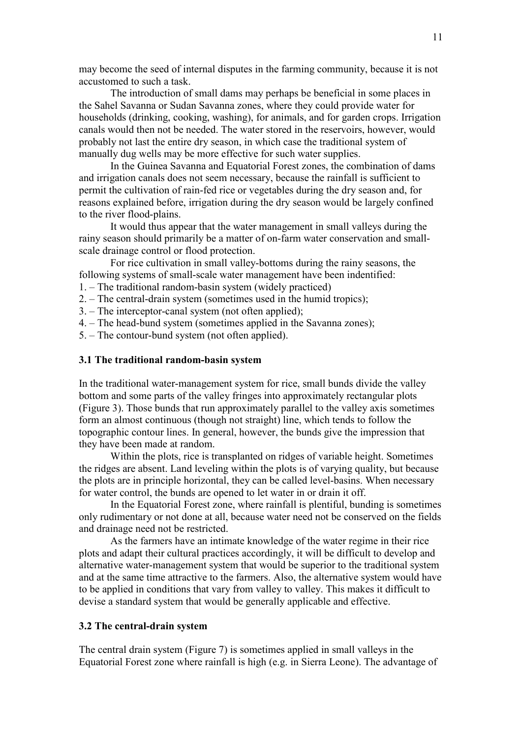may become the seed of internal disputes in the farming community, because it is not accustomed to such a task.

The introduction of small dams may perhaps be beneficial in some places in the Sahel Savanna or Sudan Savanna zones, where they could provide water for households (drinking, cooking, washing), for animals, and for garden crops. Irrigation canals would then not be needed. The water stored in the reservoirs, however, would probably not last the entire dry season, in which case the traditional system of manually dug wells may be more effective for such water supplies.

In the Guinea Savanna and Equatorial Forest zones, the combination of dams and irrigation canals does not seem necessary, because the rainfall is sufficient to permit the cultivation of rain-fed rice or vegetables during the dry season and, for reasons explained before, irrigation during the dry season would be largely confined to the river flood-plains.

It would thus appear that the water management in small valleys during the rainy season should primarily be a matter of on-farm water conservation and smallscale drainage control or flood protection.

For rice cultivation in small valley-bottoms during the rainy seasons, the following systems of small-scale water management have been indentified: 1. – The traditional random-basin system (widely practiced)

2. – The central-drain system (sometimes used in the humid tropics);

- 3. The interceptor-canal system (not often applied);
- 4. The head-bund system (sometimes applied in the Savanna zones);

5. – The contour-bund system (not often applied).

### **3.1 The traditional random-basin system**

In the traditional water-management system for rice, small bunds divide the valley bottom and some parts of the valley fringes into approximately rectangular plots (Figure 3). Those bunds that run approximately parallel to the valley axis sometimes form an almost continuous (though not straight) line, which tends to follow the topographic contour lines. In general, however, the bunds give the impression that they have been made at random.

 Within the plots, rice is transplanted on ridges of variable height. Sometimes the ridges are absent. Land leveling within the plots is of varying quality, but because the plots are in principle horizontal, they can be called level-basins. When necessary for water control, the bunds are opened to let water in or drain it off.

 In the Equatorial Forest zone, where rainfall is plentiful, bunding is sometimes only rudimentary or not done at all, because water need not be conserved on the fields and drainage need not be restricted.

 As the farmers have an intimate knowledge of the water regime in their rice plots and adapt their cultural practices accordingly, it will be difficult to develop and alternative water-management system that would be superior to the traditional system and at the same time attractive to the farmers. Also, the alternative system would have to be applied in conditions that vary from valley to valley. This makes it difficult to devise a standard system that would be generally applicable and effective.

### **3.2 The central-drain system**

The central drain system (Figure 7) is sometimes applied in small valleys in the Equatorial Forest zone where rainfall is high (e.g. in Sierra Leone). The advantage of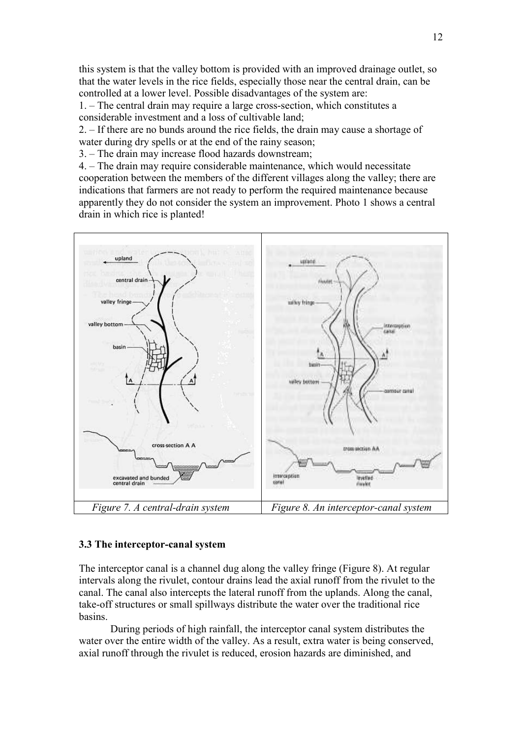this system is that the valley bottom is provided with an improved drainage outlet, so that the water levels in the rice fields, especially those near the central drain, can be controlled at a lower level. Possible disadvantages of the system are:

1. – The central drain may require a large cross-section, which constitutes a considerable investment and a loss of cultivable land;

2. – If there are no bunds around the rice fields, the drain may cause a shortage of water during dry spells or at the end of the rainy season;

3. – The drain may increase flood hazards downstream;

4. – The drain may require considerable maintenance, which would necessitate cooperation between the members of the different villages along the valley; there are indications that farmers are not ready to perform the required maintenance because apparently they do not consider the system an improvement. Photo 1 shows a central drain in which rice is planted!



#### **3.3 The interceptor-canal system**

The interceptor canal is a channel dug along the valley fringe (Figure 8). At regular intervals along the rivulet, contour drains lead the axial runoff from the rivulet to the canal. The canal also intercepts the lateral runoff from the uplands. Along the canal, take-off structures or small spillways distribute the water over the traditional rice basins.

 During periods of high rainfall, the interceptor canal system distributes the water over the entire width of the valley. As a result, extra water is being conserved, axial runoff through the rivulet is reduced, erosion hazards are diminished, and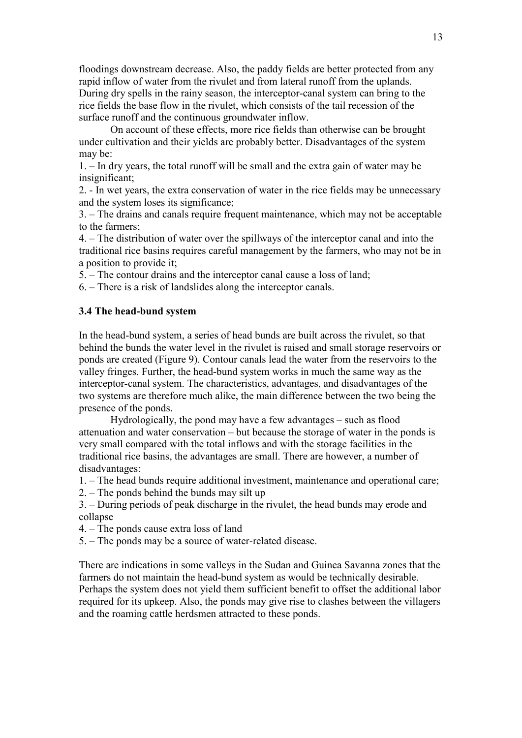floodings downstream decrease. Also, the paddy fields are better protected from any rapid inflow of water from the rivulet and from lateral runoff from the uplands. During dry spells in the rainy season, the interceptor-canal system can bring to the rice fields the base flow in the rivulet, which consists of the tail recession of the surface runoff and the continuous groundwater inflow.

 On account of these effects, more rice fields than otherwise can be brought under cultivation and their yields are probably better. Disadvantages of the system may be:

1. – In dry years, the total runoff will be small and the extra gain of water may be insignificant;

2. - In wet years, the extra conservation of water in the rice fields may be unnecessary and the system loses its significance;

3. – The drains and canals require frequent maintenance, which may not be acceptable to the farmers;

4. – The distribution of water over the spillways of the interceptor canal and into the traditional rice basins requires careful management by the farmers, who may not be in a position to provide it;

5. – The contour drains and the interceptor canal cause a loss of land;

6. – There is a risk of landslides along the interceptor canals.

#### **3.4 The head-bund system**

In the head-bund system, a series of head bunds are built across the rivulet, so that behind the bunds the water level in the rivulet is raised and small storage reservoirs or ponds are created (Figure 9). Contour canals lead the water from the reservoirs to the valley fringes. Further, the head-bund system works in much the same way as the interceptor-canal system. The characteristics, advantages, and disadvantages of the two systems are therefore much alike, the main difference between the two being the presence of the ponds.

Hydrologically, the pond may have a few advantages – such as flood attenuation and water conservation – but because the storage of water in the ponds is very small compared with the total inflows and with the storage facilities in the traditional rice basins, the advantages are small. There are however, a number of disadvantages:

1. – The head bunds require additional investment, maintenance and operational care;

2. – The ponds behind the bunds may silt up

3. – During periods of peak discharge in the rivulet, the head bunds may erode and collapse

4. – The ponds cause extra loss of land

5. – The ponds may be a source of water-related disease.

There are indications in some valleys in the Sudan and Guinea Savanna zones that the farmers do not maintain the head-bund system as would be technically desirable. Perhaps the system does not yield them sufficient benefit to offset the additional labor required for its upkeep. Also, the ponds may give rise to clashes between the villagers and the roaming cattle herdsmen attracted to these ponds.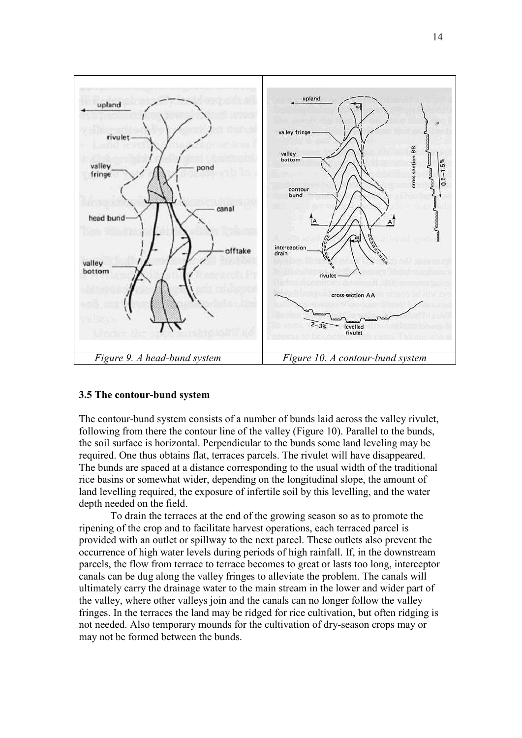

#### **3.5 The contour-bund system**

The contour-bund system consists of a number of bunds laid across the valley rivulet, following from there the contour line of the valley (Figure 10). Parallel to the bunds, the soil surface is horizontal. Perpendicular to the bunds some land leveling may be required. One thus obtains flat, terraces parcels. The rivulet will have disappeared. The bunds are spaced at a distance corresponding to the usual width of the traditional rice basins or somewhat wider, depending on the longitudinal slope, the amount of land levelling required, the exposure of infertile soil by this levelling, and the water depth needed on the field.

To drain the terraces at the end of the growing season so as to promote the ripening of the crop and to facilitate harvest operations, each terraced parcel is provided with an outlet or spillway to the next parcel. These outlets also prevent the occurrence of high water levels during periods of high rainfall. If, in the downstream parcels, the flow from terrace to terrace becomes to great or lasts too long, interceptor canals can be dug along the valley fringes to alleviate the problem. The canals will ultimately carry the drainage water to the main stream in the lower and wider part of the valley, where other valleys join and the canals can no longer follow the valley fringes. In the terraces the land may be ridged for rice cultivation, but often ridging is not needed. Also temporary mounds for the cultivation of dry-season crops may or may not be formed between the bunds.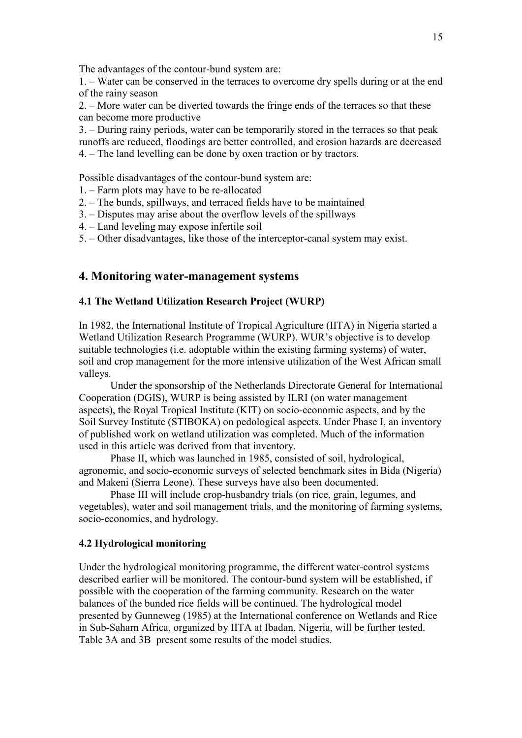The advantages of the contour-bund system are:

1. – Water can be conserved in the terraces to overcome dry spells during or at the end of the rainy season

2. – More water can be diverted towards the fringe ends of the terraces so that these can become more productive

3. – During rainy periods, water can be temporarily stored in the terraces so that peak runoffs are reduced, floodings are better controlled, and erosion hazards are decreased 4. – The land levelling can be done by oxen traction or by tractors.

Possible disadvantages of the contour-bund system are:

- 1. Farm plots may have to be re-allocated
- 2. The bunds, spillways, and terraced fields have to be maintained
- 3. Disputes may arise about the overflow levels of the spillways
- 4. Land leveling may expose infertile soil
- 5. Other disadvantages, like those of the interceptor-canal system may exist.

# **4. Monitoring water-management systems**

## **4.1 The Wetland Utilization Research Project (WURP)**

In 1982, the International Institute of Tropical Agriculture (IITA) in Nigeria started a Wetland Utilization Research Programme (WURP). WUR's objective is to develop suitable technologies (i.e. adoptable within the existing farming systems) of water, soil and crop management for the more intensive utilization of the West African small valleys.

 Under the sponsorship of the Netherlands Directorate General for International Cooperation (DGIS), WURP is being assisted by ILRI (on water management aspects), the Royal Tropical Institute (KIT) on socio-economic aspects, and by the Soil Survey Institute (STIBOKA) on pedological aspects. Under Phase I, an inventory of published work on wetland utilization was completed. Much of the information used in this article was derived from that inventory.

Phase II, which was launched in 1985, consisted of soil, hydrological, agronomic, and socio-economic surveys of selected benchmark sites in Bida (Nigeria) and Makeni (Sierra Leone). These surveys have also been documented.

Phase III will include crop-husbandry trials (on rice, grain, legumes, and vegetables), water and soil management trials, and the monitoring of farming systems, socio-economics, and hydrology.

# **4.2 Hydrological monitoring**

Under the hydrological monitoring programme, the different water-control systems described earlier will be monitored. The contour-bund system will be established, if possible with the cooperation of the farming community. Research on the water balances of the bunded rice fields will be continued. The hydrological model presented by Gunneweg (1985) at the International conference on Wetlands and Rice in Sub-Saharn Africa, organized by IITA at Ibadan, Nigeria, will be further tested. Table 3A and 3B present some results of the model studies.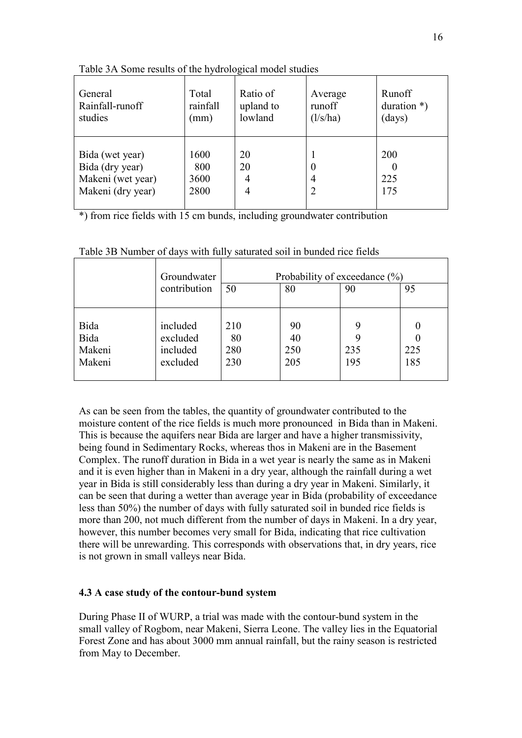| General                                                                      | Total                       | Ratio of           | Average           | Runoff            |
|------------------------------------------------------------------------------|-----------------------------|--------------------|-------------------|-------------------|
| Rainfall-runoff                                                              | rainfall                    | upland to          | runoff            | duration $*)$     |
| studies                                                                      | (mm)                        | lowland            | $\frac{1}{s}{ha}$ | (days)            |
| Bida (wet year)<br>Bida (dry year)<br>Makeni (wet year)<br>Makeni (dry year) | 1600<br>800<br>3600<br>2800 | 20<br>20<br>4<br>4 | $\theta$<br>4     | 200<br>225<br>175 |

Table 3A Some results of the hydrological model studies

\*) from rice fields with 15 cm bunds, including groundwater contribution

|        | Groundwater  | Probability of exceedance $(\% )$ |     |     |                  |
|--------|--------------|-----------------------------------|-----|-----|------------------|
|        | contribution | 50                                | 80  | 90  | 95               |
|        |              |                                   |     |     |                  |
| Bida   | included     | 210                               | 90  |     | 0                |
| Bida   | excluded     | 80                                | 40  |     | $\left( \right)$ |
| Makeni | included     | 280                               | 250 | 235 | 225              |
| Makeni | excluded     | 230                               | 205 | 195 | 185              |
|        |              |                                   |     |     |                  |

Table 3B Number of days with fully saturated soil in bunded rice fields

As can be seen from the tables, the quantity of groundwater contributed to the moisture content of the rice fields is much more pronounced in Bida than in Makeni. This is because the aquifers near Bida are larger and have a higher transmissivity, being found in Sedimentary Rocks, whereas thos in Makeni are in the Basement Complex. The runoff duration in Bida in a wet year is nearly the same as in Makeni and it is even higher than in Makeni in a dry year, although the rainfall during a wet year in Bida is still considerably less than during a dry year in Makeni. Similarly, it can be seen that during a wetter than average year in Bida (probability of exceedance less than 50%) the number of days with fully saturated soil in bunded rice fields is more than 200, not much different from the number of days in Makeni. In a dry year, however, this number becomes very small for Bida, indicating that rice cultivation there will be unrewarding. This corresponds with observations that, in dry years, rice is not grown in small valleys near Bida.

# **4.3 A case study of the contour-bund system**

During Phase II of WURP, a trial was made with the contour-bund system in the small valley of Rogbom, near Makeni, Sierra Leone. The valley lies in the Equatorial Forest Zone and has about 3000 mm annual rainfall, but the rainy season is restricted from May to December.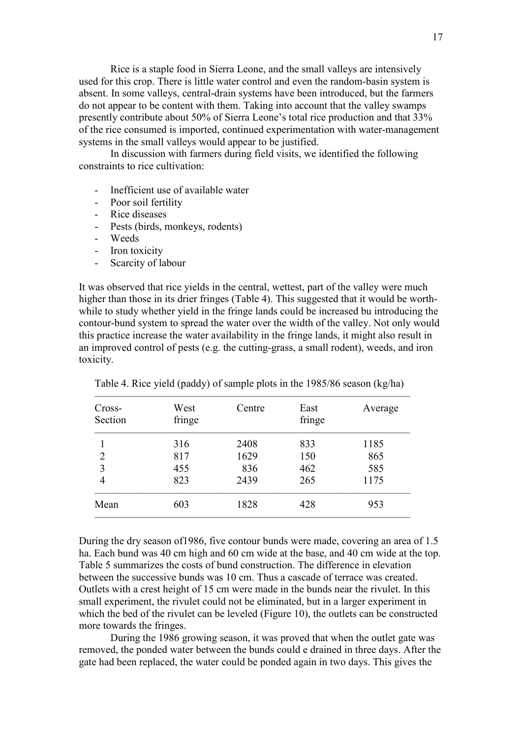Rice is a staple food in Sierra Leone, and the small valleys are intensively used for this crop. There is little water control and even the random-basin system is absent. In some valleys, central-drain systems have been introduced, but the farmers do not appear to be content with them. Taking into account that the valley swamps presently contribute about 50% of Sierra Leone's total rice production and that 33% of the rice consumed is imported, continued experimentation with water-management systems in the small valleys would appear to be justified.

 In discussion with farmers during field visits, we identified the following constraints to rice cultivation:

- Inefficient use of available water
- Poor soil fertility
- Rice diseases
- Pests (birds, monkeys, rodents)
- Weeds
- Iron toxicity
- Scarcity of labour

It was observed that rice yields in the central, wettest, part of the valley were much higher than those in its drier fringes (Table 4). This suggested that it would be worthwhile to study whether yield in the fringe lands could be increased bu introducing the contour-bund system to spread the water over the width of the valley. Not only would this practice increase the water availability in the fringe lands, it might also result in an improved control of pests (e.g. the cutting-grass, a small rodent), weeds, and iron toxicity.

| Cross-<br>Section | West<br>fringe | Centre | East<br>fringe | Average |
|-------------------|----------------|--------|----------------|---------|
|                   | 316            | 2408   | 833            | 1185    |
| $\overline{2}$    | 817            | 1629   | 150            | 865     |
| 3                 | 455            | 836    | 462            | 585     |
| 4                 | 823            | 2439   | 265            | 1175    |
| Mean              | 603            | 1828   | 428            | 953     |
|                   |                |        |                |         |

Table 4. Rice yield (paddy) of sample plots in the 1985/86 season (kg/ha)

During the dry season of1986, five contour bunds were made, covering an area of 1.5 ha. Each bund was 40 cm high and 60 cm wide at the base, and 40 cm wide at the top. Table 5 summarizes the costs of bund construction. The difference in elevation between the successive bunds was 10 cm. Thus a cascade of terrace was created. Outlets with a crest height of 15 cm were made in the bunds near the rivulet. In this small experiment, the rivulet could not be eliminated, but in a larger experiment in which the bed of the rivulet can be leveled (Figure 10), the outlets can be constructed more towards the fringes.

 During the 1986 growing season, it was proved that when the outlet gate was removed, the ponded water between the bunds could e drained in three days. After the gate had been replaced, the water could be ponded again in two days. This gives the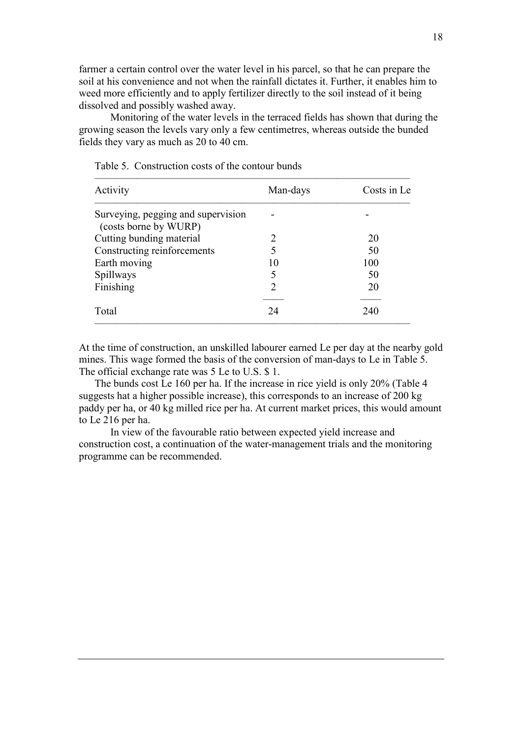farmer a certain control over the water level in his parcel, so that he can prepare the soil at his convenience and not when the rainfall dictates it. Further, it enables him to weed more efficiently and to apply fertilizer directly to the soil instead of it being dissolved and possibly washed away.

 Monitoring of the water levels in the terraced fields has shown that during the growing season the levels vary only a few centimetres, whereas outside the bunded fields they vary as much as 20 to 40 cm.

| Activity                                                    | Man-days                    | Costs in Le |
|-------------------------------------------------------------|-----------------------------|-------------|
| Surveying, pegging and supervision<br>(costs borne by WURP) |                             |             |
| Cutting bunding material                                    | 2                           | 20          |
| Constructing reinforcements                                 |                             | 50          |
| Earth moving                                                | 10                          | 100         |
| Spillways                                                   | 5                           | 50          |
| Finishing                                                   | $\mathcal{D}_{\mathcal{A}}$ | 20          |
| Total                                                       | 24                          | 240         |

Table 5. Construction costs of the contour bunds

At the time of construction, an unskilled labourer earned Le per day at the nearby gold mines. This wage formed the basis of the conversion of man-days to Le in Table 5. The official exchange rate was 5 Le to U.S. \$ 1.

The bunds cost Le 160 per ha. If the increase in rice yield is only 20% (Table 4 suggests hat a higher possible increase), this corresponds to an increase of 200 kg paddy per ha, or 40 kg milled rice per ha. At current market prices, this would amount to Le 216 per ha.

 In view of the favourable ratio between expected yield increase and construction cost, a continuation of the water-management trials and the monitoring programme can be recommended.